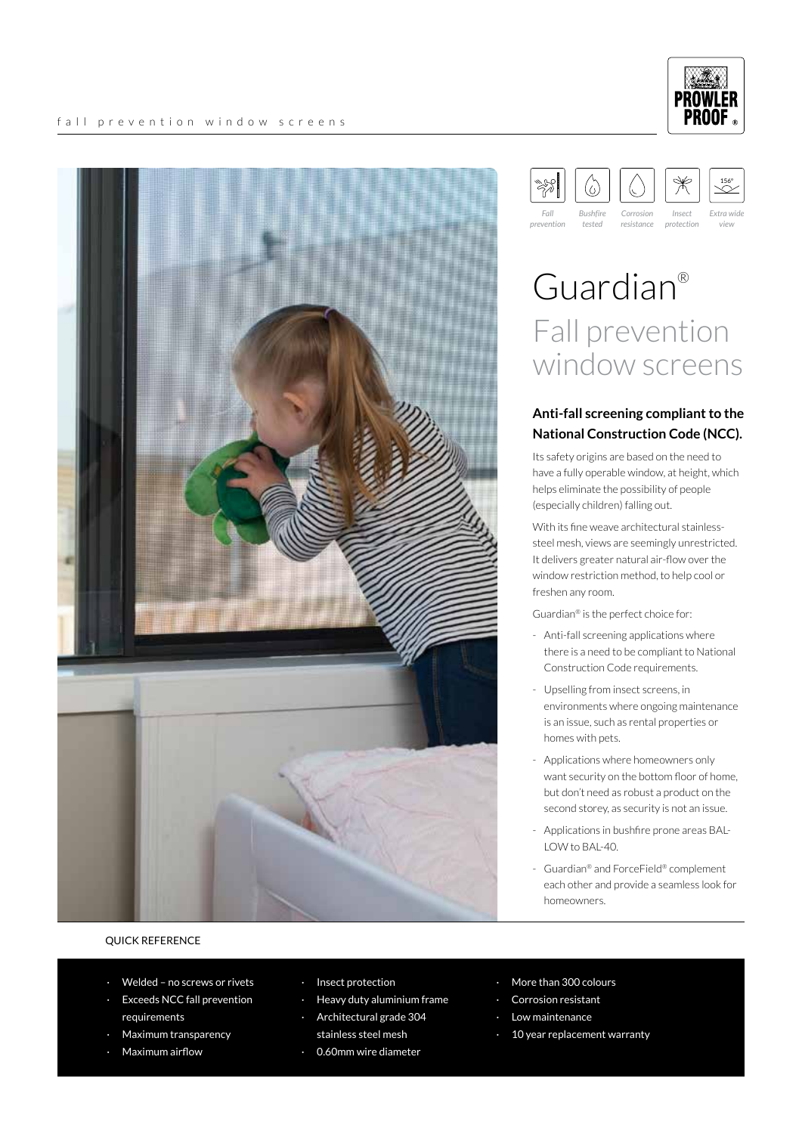

#### 156º(၀) *Fall Bushfire Corrosion Insect Extra wide*

*resistance*

*protection*

*view*

*tested*

*prevention*

# Guardian® Fall prevention window screens

#### **Anti-fall screening compliant to the National Construction Code (NCC).**

Its safety origins are based on the need to have a fully operable window, at height, which helps eliminate the possibility of people (especially children) falling out.

With its fine weave architectural stainlesssteel mesh, views are seemingly unrestricted. It delivers greater natural air-flow over the window restriction method, to help cool or freshen any room.

Guardian® is the perfect choice for:

- Anti-fall screening applications where there is a need to be compliant to National Construction Code requirements.
- Upselling from insect screens, in environments where ongoing maintenance is an issue, such as rental properties or homes with pets.
- Applications where homeowners only want security on the bottom floor of home, but don't need as robust a product on the second storey, as security is not an issue.
- Applications in bushfire prone areas BAL-LOW to BAL-40.
- Guardian® and ForceField® complement each other and provide a seamless look for homeowners.

#### QUICK REFERENCE

- Welded no screws or rivets
- **Exceeds NCC fall prevention** requirements
- · Maximum transparency
- Maximum airflow
- · Insect protection
- Heavy duty aluminium frame
- · Architectural grade 304 stainless steel mesh
- 0.60mm wire diameter
- More than 300 colours
- Corrosion resistant
- Low maintenance
- 10 year replacement warranty